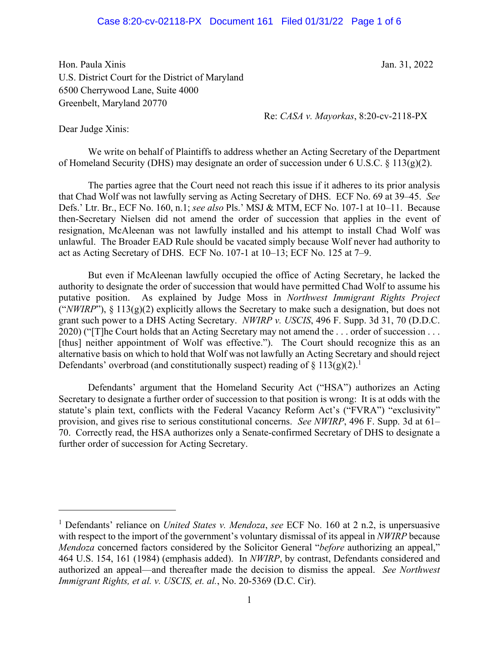## Case 8:20-cv-02118-PX Document 161 Filed 01/31/22 Page 1 of 6

Hon. Paula Xinis Jan. 31, 2022 U.S. District Court for the District of Maryland 6500 Cherrywood Lane, Suite 4000 Greenbelt, Maryland 20770

Re: *CASA v. Mayorkas*, 8:20-cv-2118-PX

Dear Judge Xinis:

We write on behalf of Plaintiffs to address whether an Acting Secretary of the Department of Homeland Security (DHS) may designate an order of succession under 6 U.S.C.  $\S 113(g)(2)$ .

The parties agree that the Court need not reach this issue if it adheres to its prior analysis that Chad Wolf was not lawfully serving as Acting Secretary of DHS. ECF No. 69 at 39–45. *See*  Defs.' Ltr. Br., ECF No. 160, n.1; *see also* Pls.' MSJ & MTM, ECF No. 107-1 at 10–11. Because then-Secretary Nielsen did not amend the order of succession that applies in the event of resignation, McAleenan was not lawfully installed and his attempt to install Chad Wolf was unlawful. The Broader EAD Rule should be vacated simply because Wolf never had authority to act as Acting Secretary of DHS. ECF No. 107-1 at 10–13; ECF No. 125 at 7–9.

But even if McAleenan lawfully occupied the office of Acting Secretary, he lacked the authority to designate the order of succession that would have permitted Chad Wolf to assume his putative position. As explained by Judge Moss in *Northwest Immigrant Rights Project*  ("*NWIRP*"), § 113(g)(2) explicitly allows the Secretary to make such a designation, but does not grant such power to a DHS Acting Secretary. *NWIRP v. USCIS*, 496 F. Supp. 3d 31, 70 (D.D.C. 2020) ("[T]he Court holds that an Acting Secretary may not amend the ... order of succession ... [thus] neither appointment of Wolf was effective."). The Court should recognize this as an alternative basis on which to hold that Wolf was not lawfully an Acting Secretary and should reject Defendants' overbroad (and constitutionally suspect) reading of  $\S 113(g)(2)$ .<sup>1</sup>

Defendants' argument that the Homeland Security Act ("HSA") authorizes an Acting Secretary to designate a further order of succession to that position is wrong: It is at odds with the statute's plain text, conflicts with the Federal Vacancy Reform Act's ("FVRA") "exclusivity" provision, and gives rise to serious constitutional concerns. *See NWIRP*, 496 F. Supp. 3d at 61– 70. Correctly read, the HSA authorizes only a Senate-confirmed Secretary of DHS to designate a further order of succession for Acting Secretary.

<sup>&</sup>lt;sup>1</sup> Defendants' reliance on *United States v. Mendoza, see* ECF No. 160 at 2 n.2, is unpersuasive with respect to the import of the government's voluntary dismissal of its appeal in *NWIRP* because *Mendoza* concerned factors considered by the Solicitor General "*before* authorizing an appeal," 464 U.S. 154, 161 (1984) (emphasis added). In *NWIRP*, by contrast, Defendants considered and authorized an appeal—and thereafter made the decision to dismiss the appeal. *See Northwest Immigrant Rights, et al. v. USCIS, et. al.*, No. 20-5369 (D.C. Cir).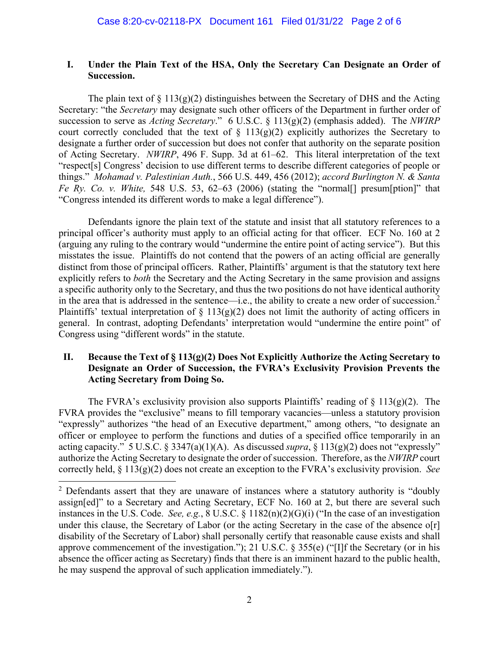## **I. Under the Plain Text of the HSA, Only the Secretary Can Designate an Order of Succession.**

The plain text of  $\S 113(g)(2)$  distinguishes between the Secretary of DHS and the Acting Secretary: "the *Secretary* may designate such other officers of the Department in further order of succession to serve as *Acting Secretary*." 6 U.S.C. § 113(g)(2) (emphasis added). The *NWIRP* court correctly concluded that the text of  $\S$  113(g)(2) explicitly authorizes the Secretary to designate a further order of succession but does not confer that authority on the separate position of Acting Secretary. *NWIRP*, 496 F. Supp. 3d at 61–62. This literal interpretation of the text "respect[s] Congress' decision to use different terms to describe different categories of people or things." *Mohamad v. Palestinian Auth.*, 566 U.S. 449, 456 (2012); *accord Burlington N. & Santa Fe Ry. Co. v. White,* 548 U.S. 53, 62–63 (2006) (stating the "normal<sup>[]</sup> presum[ption]" that "Congress intended its different words to make a legal difference").

 Defendants ignore the plain text of the statute and insist that all statutory references to a principal officer's authority must apply to an official acting for that officer. ECF No. 160 at 2 (arguing any ruling to the contrary would "undermine the entire point of acting service"). But this misstates the issue. Plaintiffs do not contend that the powers of an acting official are generally distinct from those of principal officers. Rather, Plaintiffs' argument is that the statutory text here explicitly refers to *both* the Secretary and the Acting Secretary in the same provision and assigns a specific authority only to the Secretary, and thus the two positions do not have identical authority in the area that is addressed in the sentence—i.e., the ability to create a new order of succession.<sup>2</sup> Plaintiffs' textual interpretation of  $\S 113(g)(2)$  does not limit the authority of acting officers in general. In contrast, adopting Defendants' interpretation would "undermine the entire point" of Congress using "different words" in the statute.

## **II. Because the Text of § 113(g)(2) Does Not Explicitly Authorize the Acting Secretary to Designate an Order of Succession, the FVRA's Exclusivity Provision Prevents the Acting Secretary from Doing So.**

The FVRA's exclusivity provision also supports Plaintiffs' reading of  $\S 113(g)(2)$ . The FVRA provides the "exclusive" means to fill temporary vacancies—unless a statutory provision "expressly" authorizes "the head of an Executive department," among others, "to designate an officer or employee to perform the functions and duties of a specified office temporarily in an acting capacity." 5 U.S.C. § 3347(a)(1)(A). As discussed *supra*, § 113(g)(2) does not "expressly" authorize the Acting Secretary to designate the order of succession. Therefore, as the *NWIRP* court correctly held, § 113(g)(2) does not create an exception to the FVRA's exclusivity provision. *See*

 $\overline{a}$ 

 $2$  Defendants assert that they are unaware of instances where a statutory authority is "doubly" assign[ed]" to a Secretary and Acting Secretary, ECF No. 160 at 2, but there are several such instances in the U.S. Code. *See, e.g.*, 8 U.S.C. § 1182(n)(2)(G)(i) ("In the case of an investigation under this clause, the Secretary of Labor (or the acting Secretary in the case of the absence o[r] disability of the Secretary of Labor) shall personally certify that reasonable cause exists and shall approve commencement of the investigation."); 21 U.S.C. § 355(e) ("[I]f the Secretary (or in his absence the officer acting as Secretary) finds that there is an imminent hazard to the public health, he may suspend the approval of such application immediately.").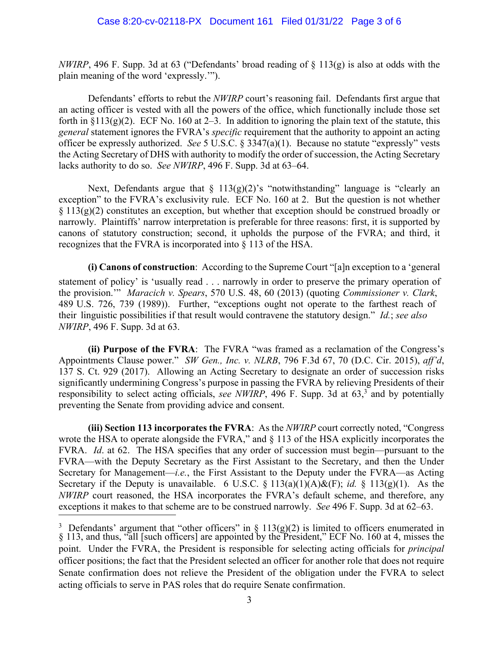*NWIRP*, 496 F. Supp. 3d at 63 ("Defendants' broad reading of § 113(g) is also at odds with the plain meaning of the word 'expressly.'").

Defendants' efforts to rebut the *NWIRP* court's reasoning fail. Defendants first argue that an acting officer is vested with all the powers of the office, which functionally include those set forth in  $\S113(g)(2)$ . ECF No. 160 at 2–3. In addition to ignoring the plain text of the statute, this *general* statement ignores the FVRA's *specific* requirement that the authority to appoint an acting officer be expressly authorized. *See* 5 U.S.C. § 3347(a)(1). Because no statute "expressly" vests the Acting Secretary of DHS with authority to modify the order of succession, the Acting Secretary lacks authority to do so. *See NWIRP*, 496 F. Supp. 3d at 63–64.

Next, Defendants argue that  $\S 113(g)(2)$ 's "notwithstanding" language is "clearly an exception" to the FVRA's exclusivity rule. ECF No. 160 at 2. But the question is not whether  $\S 113(g)(2)$  constitutes an exception, but whether that exception should be construed broadly or narrowly. Plaintiffs' narrow interpretation is preferable for three reasons: first, it is supported by canons of statutory construction; second, it upholds the purpose of the FVRA; and third, it recognizes that the FVRA is incorporated into § 113 of the HSA.

**(i) Canons of construction**: According to the Supreme Court "[a]n exception to a 'general statement of policy' is 'usually read . . . narrowly in order to preserve the primary operation of the provision.'" *Maracich v. Spears*, 570 U.S. 48, 60 (2013) (quoting *Commissioner v. Clark*, 489 U.S. 726, 739 (1989)). Further, "exceptions ought not operate to the farthest reach of their linguistic possibilities if that result would contravene the statutory design." *Id.*; *see also NWIRP*, 496 F. Supp. 3d at 63.

**(ii) Purpose of the FVRA**: The FVRA "was framed as a reclamation of the Congress's Appointments Clause power." *SW Gen., Inc. v. NLRB*, 796 F.3d 67, 70 (D.C. Cir. 2015), *aff'd*, 137 S. Ct. 929 (2017). Allowing an Acting Secretary to designate an order of succession risks significantly undermining Congress's purpose in passing the FVRA by relieving Presidents of their responsibility to select acting officials, *see NWIRP*, 496 F. Supp. 3d at 63,<sup>3</sup> and by potentially preventing the Senate from providing advice and consent.

**(iii) Section 113 incorporates the FVRA**: As the *NWIRP* court correctly noted, "Congress wrote the HSA to operate alongside the FVRA," and  $\S$  113 of the HSA explicitly incorporates the FVRA. *Id*. at 62. The HSA specifies that any order of succession must begin—pursuant to the FVRA—with the Deputy Secretary as the First Assistant to the Secretary, and then the Under Secretary for Management—*i.e.*, the First Assistant to the Deputy under the FVRA—as Acting Secretary if the Deputy is unavailable. 6 U.S.C. § 113(a)(1)(A)&(F); *id.* § 113(g)(1). As the *NWIRP* court reasoned, the HSA incorporates the FVRA's default scheme, and therefore, any exceptions it makes to that scheme are to be construed narrowly. *See* 496 F. Supp. 3d at 62–63.

<sup>&</sup>lt;sup>3</sup> Defendants' argument that "other officers" in § 113(g)(2) is limited to officers enumerated in § 113, and thus, "all [such officers] are appointed by the President," ECF No. 160 at 4, misses the point. Under the FVRA, the President is responsible for selecting acting officials for *principal* officer positions; the fact that the President selected an officer for another role that does not require Senate confirmation does not relieve the President of the obligation under the FVRA to select acting officials to serve in PAS roles that do require Senate confirmation.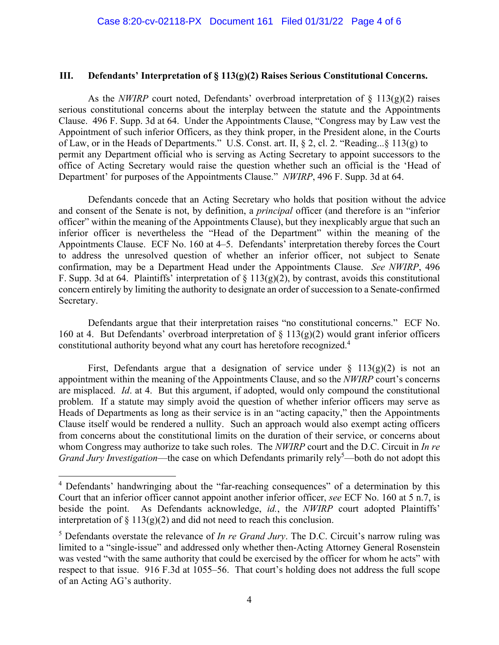## **III. Defendants' Interpretation of § 113(g)(2) Raises Serious Constitutional Concerns.**

As the *NWIRP* court noted, Defendants' overbroad interpretation of  $\S$  113(g)(2) raises serious constitutional concerns about the interplay between the statute and the Appointments Clause. 496 F. Supp. 3d at 64. Under the Appointments Clause, "Congress may by Law vest the Appointment of such inferior Officers, as they think proper, in the President alone, in the Courts of Law, or in the Heads of Departments." U.S. Const. art. II, § 2, cl. 2. "Reading...§ 113(g) to permit any Department official who is serving as Acting Secretary to appoint successors to the office of Acting Secretary would raise the question whether such an official is the 'Head of Department' for purposes of the Appointments Clause." *NWIRP*, 496 F. Supp. 3d at 64.

Defendants concede that an Acting Secretary who holds that position without the advice and consent of the Senate is not, by definition, a *principal* officer (and therefore is an "inferior officer" within the meaning of the Appointments Clause), but they inexplicably argue that such an inferior officer is nevertheless the "Head of the Department" within the meaning of the Appointments Clause. ECF No. 160 at 4–5. Defendants' interpretation thereby forces the Court to address the unresolved question of whether an inferior officer, not subject to Senate confirmation, may be a Department Head under the Appointments Clause. *See NWIRP*, 496 F. Supp. 3d at 64. Plaintiffs' interpretation of  $\S 113(g)(2)$ , by contrast, avoids this constitutional concern entirely by limiting the authority to designate an order of succession to a Senate-confirmed Secretary.

Defendants argue that their interpretation raises "no constitutional concerns." ECF No. 160 at 4. But Defendants' overbroad interpretation of  $\S$  113(g)(2) would grant inferior officers constitutional authority beyond what any court has heretofore recognized.<sup>4</sup>

First, Defendants argue that a designation of service under  $\S$  113(g)(2) is not an appointment within the meaning of the Appointments Clause, and so the *NWIRP* court's concerns are misplaced. *Id*. at 4. But this argument, if adopted, would only compound the constitutional problem. If a statute may simply avoid the question of whether inferior officers may serve as Heads of Departments as long as their service is in an "acting capacity," then the Appointments Clause itself would be rendered a nullity. Such an approach would also exempt acting officers from concerns about the constitutional limits on the duration of their service, or concerns about whom Congress may authorize to take such roles. The *NWIRP* court and the D.C. Circuit in *In re Grand Jury Investigation*—the case on which Defendants primarily rely<sup>5</sup>—both do not adopt this

<sup>&</sup>lt;sup>4</sup> Defendants' handwringing about the "far-reaching consequences" of a determination by this Court that an inferior officer cannot appoint another inferior officer, *see* ECF No. 160 at 5 n.7, is beside the point. As Defendants acknowledge, *id.*, the *NWIRP* court adopted Plaintiffs' interpretation of  $\S 113(g)(2)$  and did not need to reach this conclusion.

<sup>&</sup>lt;sup>5</sup> Defendants overstate the relevance of *In re Grand Jury*. The D.C. Circuit's narrow ruling was limited to a "single-issue" and addressed only whether then-Acting Attorney General Rosenstein was vested "with the same authority that could be exercised by the officer for whom he acts" with respect to that issue. 916 F.3d at 1055–56. That court's holding does not address the full scope of an Acting AG's authority.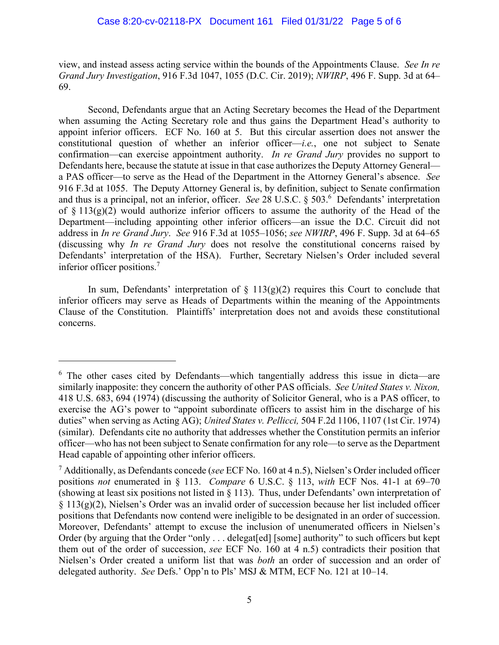view, and instead assess acting service within the bounds of the Appointments Clause. *See In re Grand Jury Investigation*, 916 F.3d 1047, 1055 (D.C. Cir. 2019); *NWIRP*, 496 F. Supp. 3d at 64– 69.

 Second, Defendants argue that an Acting Secretary becomes the Head of the Department when assuming the Acting Secretary role and thus gains the Department Head's authority to appoint inferior officers. ECF No. 160 at 5. But this circular assertion does not answer the constitutional question of whether an inferior officer—*i.e.*, one not subject to Senate confirmation—can exercise appointment authority. *In re Grand Jury* provides no support to Defendants here, because the statute at issue in that case authorizes the Deputy Attorney General a PAS officer—to serve as the Head of the Department in the Attorney General's absence. *See*  916 F.3d at 1055. The Deputy Attorney General is, by definition, subject to Senate confirmation and thus is a principal, not an inferior, officer. *See* 28 U.S.C. § 503.<sup>6</sup> Defendants' interpretation of  $\S 113(g)(2)$  would authorize inferior officers to assume the authority of the Head of the Department—including appointing other inferior officers—an issue the D.C. Circuit did not address in *In re Grand Jury*. *See* 916 F.3d at 1055–1056; *see NWIRP*, 496 F. Supp. 3d at 64–65 (discussing why *In re Grand Jury* does not resolve the constitutional concerns raised by Defendants' interpretation of the HSA). Further, Secretary Nielsen's Order included several inferior officer positions.7

In sum, Defendants' interpretation of  $\S$  113(g)(2) requires this Court to conclude that inferior officers may serve as Heads of Departments within the meaning of the Appointments Clause of the Constitution. Plaintiffs' interpretation does not and avoids these constitutional concerns.

<sup>&</sup>lt;sup>6</sup> The other cases cited by Defendants—which tangentially address this issue in dicta—are similarly inapposite: they concern the authority of other PAS officials. *See United States v. Nixon,*  418 U.S. 683, 694 (1974) (discussing the authority of Solicitor General, who is a PAS officer, to exercise the AG's power to "appoint subordinate officers to assist him in the discharge of his duties" when serving as Acting AG); *United States v. Pellicci,* 504 F.2d 1106, 1107 (1st Cir. 1974) (similar). Defendants cite no authority that addresses whether the Constitution permits an inferior officer—who has not been subject to Senate confirmation for any role—to serve as the Department Head capable of appointing other inferior officers.

<sup>7</sup> Additionally, as Defendants concede (*see* ECF No. 160 at 4 n.5), Nielsen's Order included officer positions *not* enumerated in § 113. *Compare* 6 U.S.C. § 113, *with* ECF Nos. 41-1 at 69–70 (showing at least six positions not listed in § 113). Thus, under Defendants' own interpretation of § 113(g)(2), Nielsen's Order was an invalid order of succession because her list included officer positions that Defendants now contend were ineligible to be designated in an order of succession. Moreover, Defendants' attempt to excuse the inclusion of unenumerated officers in Nielsen's Order (by arguing that the Order "only . . . delegat[ed] [some] authority" to such officers but kept them out of the order of succession, *see* ECF No. 160 at 4 n.5) contradicts their position that Nielsen's Order created a uniform list that was *both* an order of succession and an order of delegated authority. *See* Defs.' Opp'n to Pls' MSJ & MTM, ECF No. 121 at 10–14.